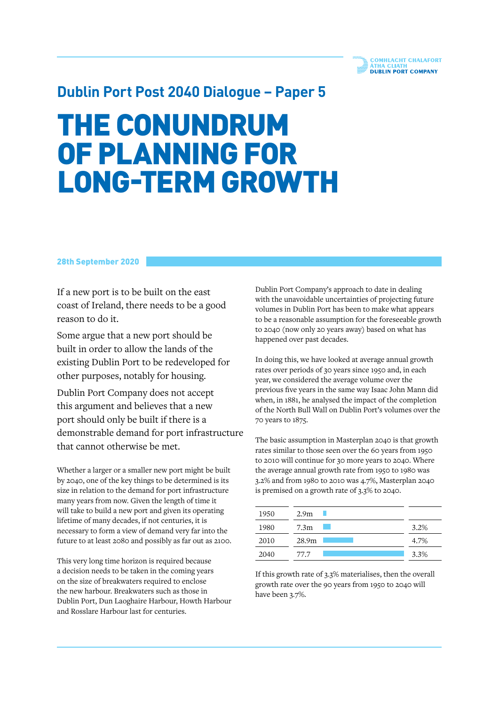## **Dublin Port Post 2040 Dialogue – Paper 5**

# THE CONUNDRUM OF PLANNING FOR LONG-TERM GROWTH

### 28th September 2020

If a new port is to be built on the east coast of Ireland, there needs to be a good reason to do it.

Some argue that a new port should be built in order to allow the lands of the existing Dublin Port to be redeveloped for other purposes, notably for housing.

Dublin Port Company does not accept this argument and believes that a new port should only be built if there is a demonstrable demand for port infrastructure that cannot otherwise be met.

Whether a larger or a smaller new port might be built by 2040, one of the key things to be determined is its size in relation to the demand for port infrastructure many years from now. Given the length of time it will take to build a new port and given its operating lifetime of many decades, if not centuries, it is necessary to form a view of demand very far into the future to at least 2080 and possibly as far out as 2100.

This very long time horizon is required because a decision needs to be taken in the coming years on the size of breakwaters required to enclose the new harbour. Breakwaters such as those in Dublin Port, Dun Laoghaire Harbour, Howth Harbour and Rosslare Harbour last for centuries.

Dublin Port Company's approach to date in dealing with the unavoidable uncertainties of projecting future volumes in Dublin Port has been to make what appears to be a reasonable assumption for the foreseeable growth to 2040 (now only 20 years away) based on what has happened over past decades.

In doing this, we have looked at average annual growth rates over periods of 30 years since 1950 and, in each year, we considered the average volume over the previous five years in the same way Isaac John Mann did when, in 1881, he analysed the impact of the completion of the North Bull Wall on Dublin Port's volumes over the 70 years to 1875.

The basic assumption in Masterplan 2040 is that growth rates similar to those seen over the 60 years from 1950 to 2010 will continue for 30 more years to 2040. Where the average annual growth rate from 1950 to 1980 was 3.2% and from 1980 to 2010 was 4.7%, Masterplan 2040 is premised on a growth rate of 3.3% to 2040.

| 1950 | 2.9 <sub>m</sub> |      |
|------|------------------|------|
| 1980 | 7.3 <sub>m</sub> | 3.2% |
| 2010 | 28.9m            | 4.7% |
| 2040 | 77.7             | 3.3% |

If this growth rate of 3.3% materialises, then the overall growth rate over the 90 years from 1950 to 2040 will have been 3.7%.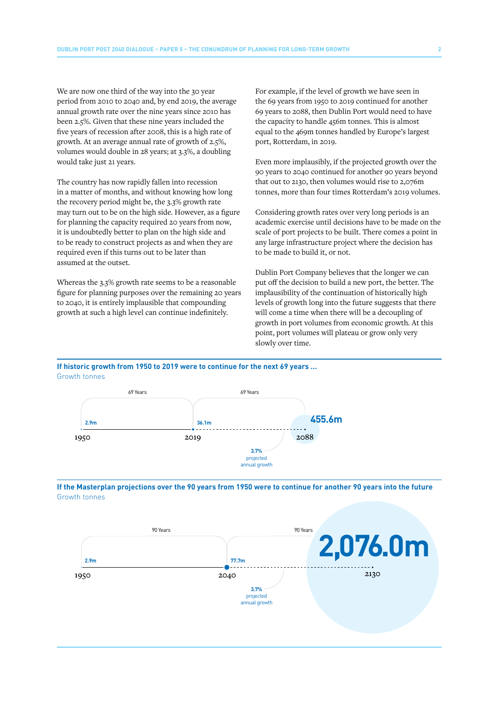We are now one third of the way into the 30 year period from 2010 to 2040 and, by end 2019, the average annual growth rate over the nine years since 2010 has been 2.5%. Given that these nine years included the five years of recession after 2008, this is a high rate of growth. At an average annual rate of growth of 2.5%, volumes would double in 28 years; at 3.3%, a doubling would take just 21 years.

The country has now rapidly fallen into recession in a matter of months, and without knowing how long the recovery period might be, the 3.3% growth rate may turn out to be on the high side. However, as a figure for planning the capacity required 20 years from now, it is undoubtedly better to plan on the high side and to be ready to construct projects as and when they are required even if this turns out to be later than assumed at the outset.

Whereas the 3.3% growth rate seems to be a reasonable figure for planning purposes over the remaining 20 years to 2040, it is entirely implausible that compounding growth at such a high level can continue indefinitely.

For example, if the level of growth we have seen in the 69 years from 1950 to 2019 continued for another 69 years to 2088, then Dublin Port would need to have the capacity to handle 456m tonnes. This is almost equal to the 469m tonnes handled by Europe's largest port, Rotterdam, in 2019.

Even more implausibly, if the projected growth over the 90 years to 2040 continued for another 90 years beyond that out to 2130, then volumes would rise to 2,076m tonnes, more than four times Rotterdam's 2019 volumes.

Considering growth rates over very long periods is an academic exercise until decisions have to be made on the scale of port projects to be built. There comes a point in any large infrastructure project where the decision has to be made to build it, or not.

Dublin Port Company believes that the longer we can put off the decision to build a new port, the better. The implausibility of the continuation of historically high levels of growth long into the future suggests that there will come a time when there will be a decoupling of growth in port volumes from economic growth. At this point, port volumes will plateau or grow only very slowly over time.

#### **If historic growth from 1950 to 2019 were to continue for the next 69 years …** Growth tonnes





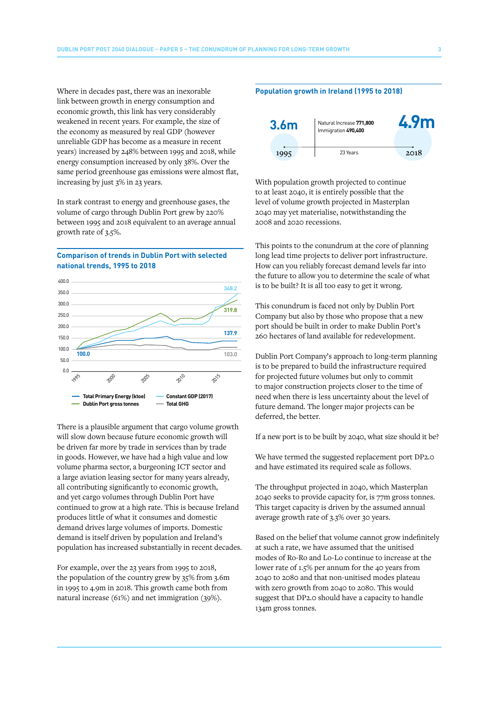Where in decades past, there was an inexorable link between growth in energy consumption and economic growth, this link has very considerably weakened in recent years. For example, the size of the economy as measured by real GDP (however unreliable GDP has become as a measure in recent years) increased by 248% between 1995 and 2018, while energy consumption increased by only 38%. Over the same period greenhouse gas emissions were almost flat, increasing by just 3% in 23 years.

In stark contrast to energy and greenhouse gases, the volume of cargo through Dublin Port grew by 220% between 1995 and 2018 equivalent to an average annual growth rate of 3.5%.

#### **Comparison of trends in Dublin Port with selected national trends, 1995 to 2018**



There is a plausible argument that cargo volume growth will slow down because future economic growth will be driven far more by trade in services than by trade in goods. However, we have had a high value and low volume pharma sector, a burgeoning ICT sector and a large aviation leasing sector for many years already, all contributing significantly to economic growth, and yet cargo volumes through Dublin Port have continued to grow at a high rate. This is because Ireland produces little of what it consumes and domestic demand drives large volumes of imports. Domestic demand is itself driven by population and Ireland's population has increased substantially in recent decades.

For example, over the 23 years from 1995 to 2018, the population of the country grew by 35% from 3.6m in 1995 to 4.9m in 2018. This growth came both from natural increase (61%) and net immigration (39%).

#### **Population growth in Ireland (1995 to 2018)**



With population growth projected to continue to at least 2040, it is entirely possible that the level of volume growth projected in Masterplan 2040 may yet materialise, notwithstanding the 2008 and 2020 recessions.

This points to the conundrum at the core of planning long lead time projects to deliver port infrastructure. How can you reliably forecast demand levels far into the future to allow you to determine the scale of what is to be built? It is all too easy to get it wrong.

This conundrum is faced not only by Dublin Port Company but also by those who propose that a new port should be built in order to make Dublin Port's 260 hectares of land available for redevelopment.

Dublin Port Company's approach to long-term planning is to be prepared to build the infrastructure required for projected future volumes but only to commit to major construction projects closer to the time of need when there is less uncertainty about the level of future demand. The longer major projects can be deferred, the better.

If a new port is to be built by 2040, what size should it be?

We have termed the suggested replacement port DP2.0 and have estimated its required scale as follows.

The throughput projected in 2040, which Masterplan 2040 seeks to provide capacity for, is 77m gross tonnes. This target capacity is driven by the assumed annual average growth rate of 3.3% over 30 years.

Based on the belief that volume cannot grow indefinitely at such a rate, we have assumed that the unitised modes of Ro-Ro and Lo-Lo continue to increase at the lower rate of 1.5% per annum for the 40 years from 2040 to 2080 and that non-unitised modes plateau with zero growth from 2040 to 2080. This would suggest that DP2.0 should have a capacity to handle 134m gross tonnes.